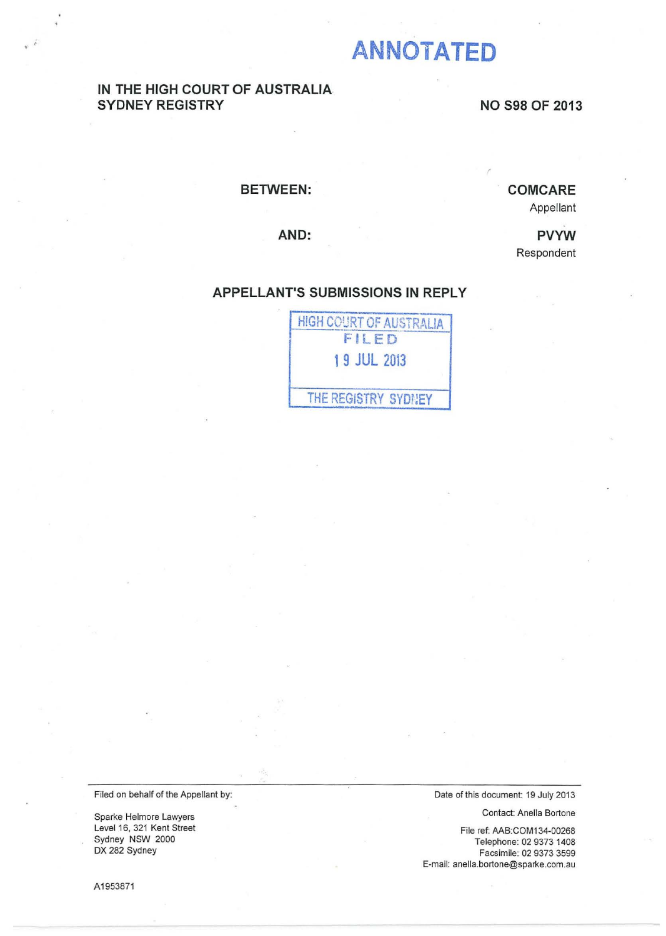# **ANNOTATED**

### IN THE HIGH COURT OF AUSTRALIA SYDNEY REGISTRY NO S98 OF 2013

#### BETWEEN:

## COMCARE

Appellant

AND:

PVYW Respondent

#### APPELLANT'S SUBMISSIONS IN REPLY



Filed on behalf of the Appellant by:

Sparke Helmore Lawyers Level 16, 321 Kent Street Sydney NSW 2000 DX 282 Sydney

A1953871

Date of this document: 19 July 2013

Contact: Anella Bartone

File ref: AAB:COM134-00268 Telephone: 02 9373 1408 Facsimile: 02 9373 3599 E-mail: anella.bortone@sparke.com.au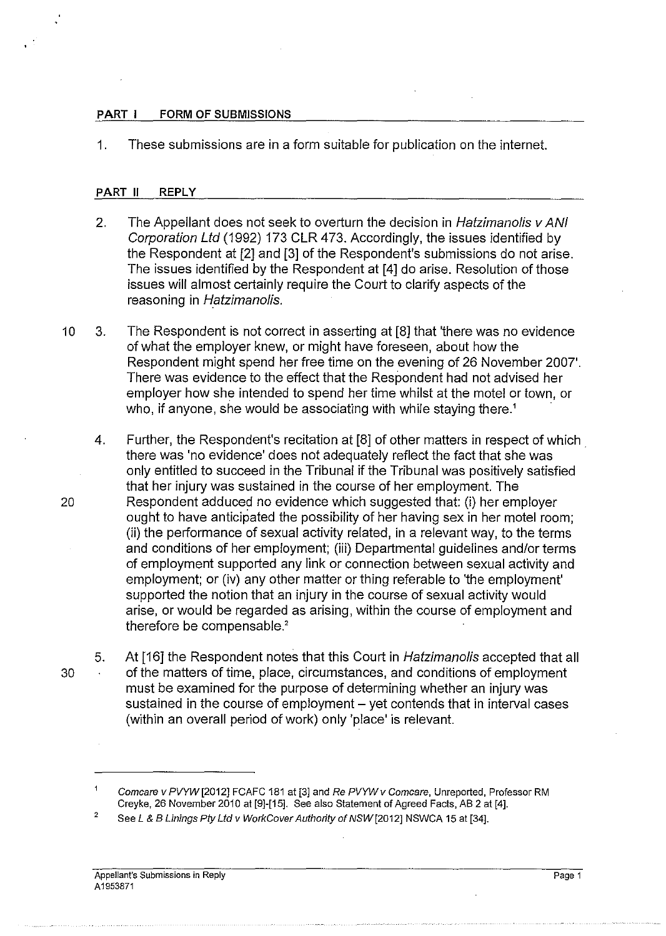#### PART I FORM OF SUBMISSIONS

1. These submissions are in a form suitable for publication on the internet.

#### PART II REPLY

- 2. The Appellant does not seek to overturn the decision in Hatzimanolis v ANI Corporation Ltd (1992) 173 CLR 473. Accordingly, the issues identified by the Respondent at [2] and [3] of the Respondent's submissions do not arise. The issues identified by the Respondent at [4] do arise. Resolution of those issues will almost certainly require the Court to clarify aspects of the reasoning in Hatzimanolis.
- 10 3. The Respondent is not correct in asserting at [8] that 'there was no evidence of what the employer knew, or might have foreseen, about how the Respondent might spend her free time on the evening of 26 November 2007'. There was evidence to the effect that the Respondent had not advised her employer how she intended to spend her time whilst at the motel or town, or who, if anyone, she would be associating with while staying there.<sup>1</sup>
- 4. Further, the Respondent's recitation at [8] of other matters in respect of which . there was 'no evidence' does not adequately reflect the fact that she was only entitled to succeed in the Tribunal if the Tribunal was positively satisfied that her injury was sustained in the course of her employment. The 20 Respondent adduced no evidence which suggested that: (i) her employer ought to have anticipated the possibility of her having sex in her motel room; (ii) the performance of sexual activity related, in a relevant way, to the terms and conditions of her employment; (iii) Departmental guidelines and/or terms of employment supported any link or connection between sexual activity and employment; or (iv) any other matter or thing referable to 'the employment' supported the notion that an injury in the course of sexual activity would arise, or would be regarded as arising, within the course of employment and therefore be compensable.'
- 5. At [16] the Respondent notes that this Court in Hatzimanolis accepted that all 30 of the matters of time, place, circumstances, and conditions of employment must be examined for the purpose of determining whether an injury was sustained in the course of employment - yet contends that in interval cases (within an overall period of work) only 'place' is relevant.

Page 1

Comcare v PVYW [2012] FCAFC 181 at [3] and Re PVYW v Comcare, Unreported, Professor RM Creyke, 26 November 2010 at [9]-[15]. See also Statement of Agreed Facts, AB 2 at [4].

<sup>2</sup>  See L & B Linings Pty Ltd v WorkCover Authority of NSW [2012] NSWCA 15 at [34].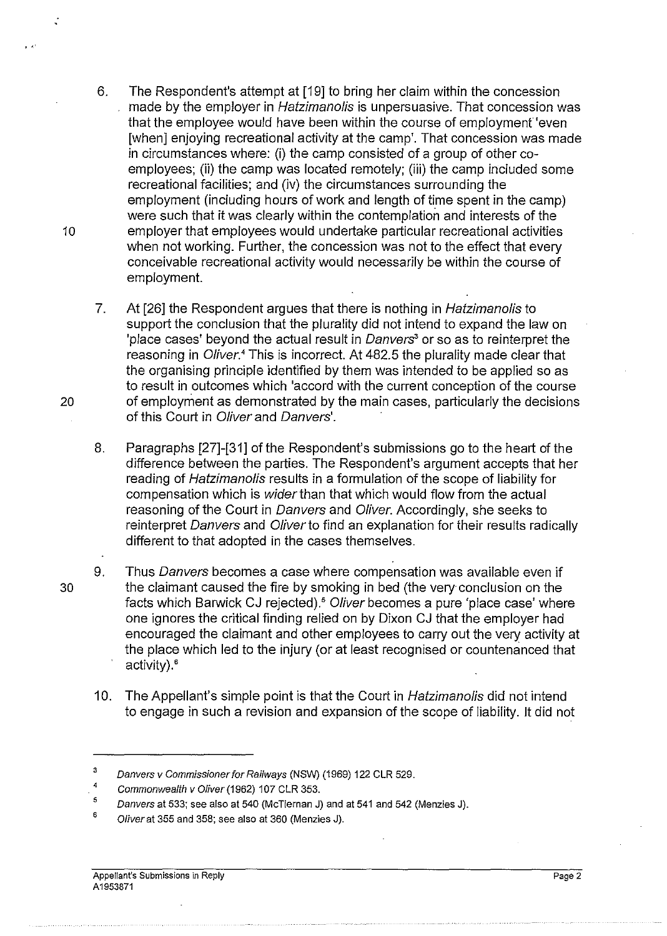- 6. The Respondent's attempt at [19] to bring her claim within the concession made by the employer in Hatzimanolis is unpersuasive. That concession was that the employee would have been within the course of employment 'even [when] enjoying recreational activity at the camp'. That concession was made in circumstances where: (i) the camp consisted of a group of other coemployees; (ii) the camp was located remotely; (iii) the camp included some recreational facilities; and (iv) the circumstances surrounding the employment (including hours of work and length of time spent in the camp) were such that it was clearly within the contemplation and interests of the 10 employer that employees would undertake particular recreational activities when not working. Further, the concession was not to the effect that every conceivable recreational activity would necessarily be within the course of employment.
- 7. At [26] the Respondent argues that there is nothing in *Hatzimanolis* to support the conclusion that the plurality did not intend to expand the law on 'place cases' beyond the actual result in Danvers*<sup>3</sup>*or so as to reinterpret the reasoning in *Oliver*.<sup>4</sup> This is incorrect. At 482.5 the plurality made clear that the organising principle identified by them was intended to be applied so as to result in outcomes which 'accord with the current conception of the course 20 of employment as demonstrated by the main cases, particularly the decisions of this Court in Oliver and Danvers'.
	- 8. Paragraphs [27]-[31] of the Respondent's submissions go to the heart of the difference between the parties. The Respondent's argument accepts that her reading of Hatzimanolis results in a formulation of the scope of liability for compensation which is wider than that which would flow from the actual reasoning of the Court in Danvers and Oliver. Accordingly, she seeks to reinterpret Danvers and Oliver to find an explanation for their results radically different to that adopted in the cases themselves.
- 9. Thus Danvers becomes a case where compensation was available even if 30 the claimant caused the fire by smoking in bed (the very conclusion on the facts which Barwick CJ rejected).<sup>5</sup> Oliver becomes a pure 'place case' where one ignores the critical finding relied on by Dixon CJ that the employer had encouraged the claimant and other employees to carry out the very activity at the place which led to the injury (or at least recognised or countenanced that activity).<sup>6</sup>
	- 10. The Appellant's simple point is that the Court in Hatzimanolis did not intend to engage in such a revision and expansion of the scope of liability. It did not

<sup>3</sup>  Danvers v Commissioner for Railways (NSW) (1969) 122 CLR 529.

*<sup>4</sup>*  Commonwealth v Oliver (1962) 107 CLR 353.

<sup>5</sup>  Danvers at 533; see also at 540 (McTiernan J) and at 541 and 542 (Menzies J).

<sup>6</sup>  Oliver at 355 and 358; see also at 360 (Menzies J).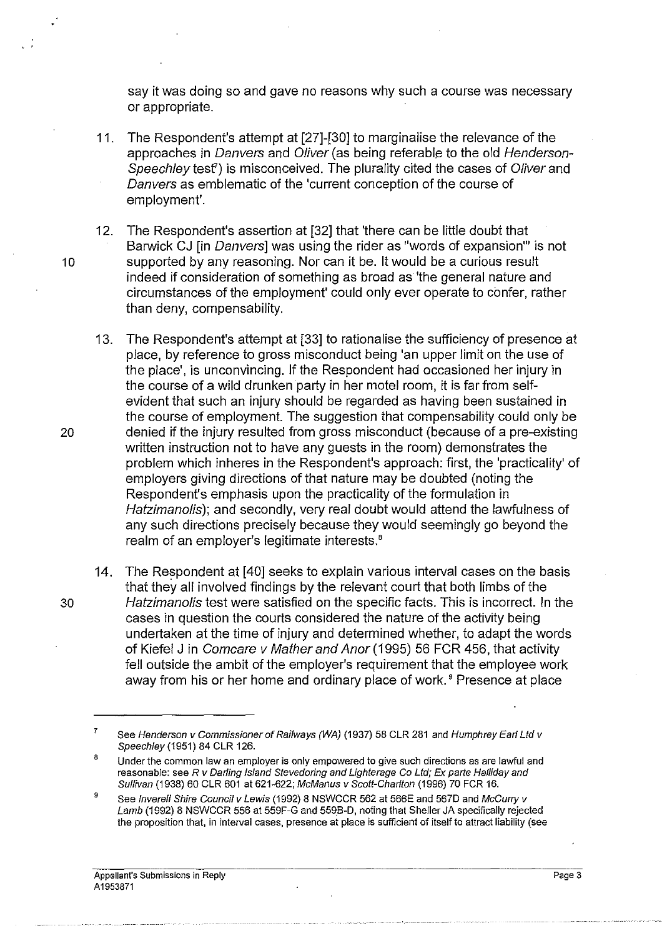say it was doing so and gave no reasons why such a course was necessary or appropriate.

- 11. The Respondent's attempt at [27]-[30] to marginalise the relevance of the approaches in Danvers and Oliver (as being referable to the old Henderson-Speechley test<sup>7</sup>) is misconceived. The plurality cited the cases of Oliver and Danvers as emblematic of the 'current conception of the course of employment'.
- 12. The Respondent's assertion at [32] that 'there can be little doubt that Barwick CJ [in Danvers] was using the rider as "words of expansion"' is not 10 supported by any reasoning. Nor can it be. It would be a curious result indeed if consideration of something as broad as 'the general nature and circumstances of the employment' could only ever operate to confer, rather than deny, compensability.
- 13. The Respondent's attempt at [33] to rationalise the sufficiency of presence at place, by reference to gross misconduct being 'an upper limit on the use of the place', is unconvincing. If the Respondent had occasioned her injury in the course of a wild drunken party in her motel room, it is far from selfevident that such an injury should be regarded as having been sustained in the course of employment. The suggestion that compensability could only be 20 denied if the injury resulted from gross misconduct (because of a pre-existing written instruction not to have any guests in the room) demonstrates the problem which inheres in the Respondent's approach: first, the 'practicality' of employers giving directions of that nature may be doubted (noting the Respondent's emphasis upon the practicality of the formulation in Hatzimanolis); and secondly, very real doubt would attend the lawfulness of any such directions precisely because they would seemingly go beyond the realm of an employer's legitimate interests.<sup>8</sup>
- 14. The Respondent at [40] seeks to explain various interval cases on the basis that they all involved findings by the relevant court that both limbs of the 30 Hatzimanolis test were satisfied on the specific facts. This is incorrect. In the cases in question the courts considered the nature of the activity being undertaken at the time of injury and determined whether, to adapt the words of Kiefel J in Comcare v Mather and Anor (1995) 56 FCR 456, that activity fell outside the ambit of the employer's requirement that the employee work away from his or her home and ordinary place of work.<sup>9</sup> Presence at place

<sup>7</sup>  See Henderson v Commissioner of Railways (WA) (1937) 58 CLR 281 and Humphrey Earl Ltd v Speechley (1951) 84 CLR 126.

<sup>8</sup>  Under the common law an employer is only empowered to give such directions as are lawful and reasonable: see R v Darling Island Stevedoring and Lighterage Co Ltd; Ex parte Halliday and Sullivan (1938) 60 CLR 601 at 621-622; McManus v Scott-Charlton (1996) 70 FCR 16.

<sup>9</sup>  See Inverell Shire Council v Lewis (1992) 8 NSWCCR 562 at 566E and 567D and McCurry v Lamb (1992) 8 NSWCCR 556 at 559F-G and 559B-D, noting that Sheller JA specifically rejected the proposition that, in interval cases, presence at place is sufficient of itself to attract liability (see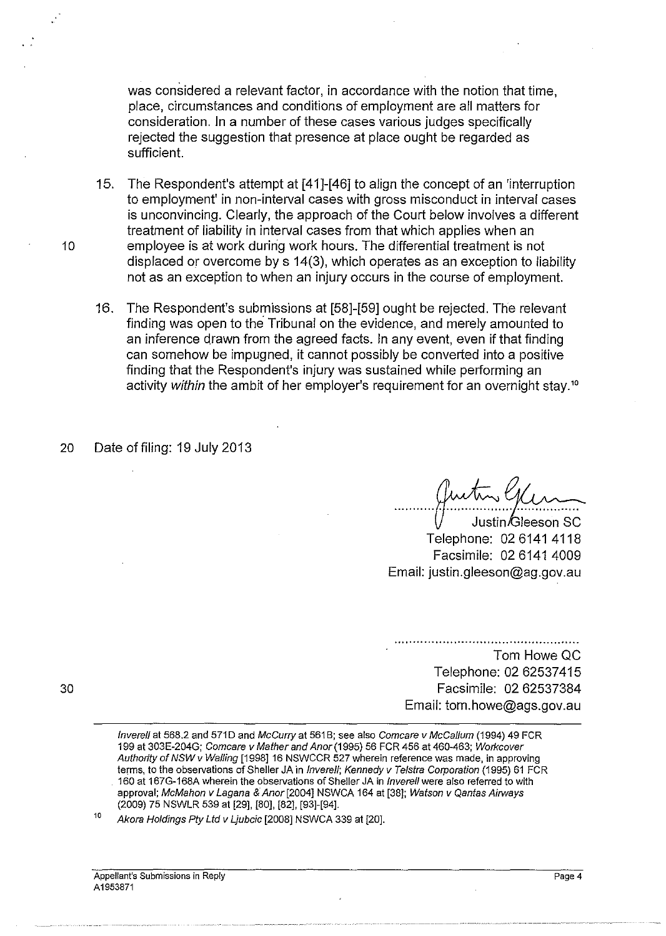was considered a relevant factor, in accordance with the notion that time, place, circumstances and conditions of employment are all matters for consideration. In a number of these cases various judges specifically rejected the suggestion that presence at place ought be regarded as sufficient.

15. The Respondent's attempt at [41]-[46] to align the concept of an 'interruption to employment' in non-interval cases with gross misconduct in interval cases is unconvincing. Clearly, the approach of the Court below involves a different treatment of liability in interval cases from that which applies when an 10 employee is at work during work hours. The differential treatment is not displaced or overcome by s 14(3), which operates as an exception to liability not as an exception to when an injury occurs in the course of employment.

- 16. The Respondent's submissions at [58]-[59] ought be rejected. The relevant finding was open to the Tribunal on the evidence, and merely amounted to an inference drawn from the agreed facts. In any event, even if that finding can somehow be impugned, it cannot possibly be converted into a positive finding that the Respondent's injury was sustained while performing an activity within the ambit of her employer's requirement for an overnight stay.<sup>10</sup>
- 20 Date of filing: 19 July 2013

Telephone: 02 6141 4118 Justin/Gleeson SC Facsimile: 02 6141 4009 Email: justin.gleeson@ag.gov.au

Tom Howe QC Telephone: 02 62537415 Facsimile: 02 62537384 Email: tom.howe@ags.gov.au

lnverell at 568.2 and 571 D and McCurry at 561 B; see also Comcare v McCallum (1994) 49 FCR 199 at 303E-204G; Comcare v Mather and Anor (1995) 56 FCR 456 at 460-463; Wotkcover Authority of NSW v Walling [1998] 16 NSWCCR 527 wherein reference was made, in approving terms, to the observations of Sheller JA in Inverell; Kennedy v Telstra Corporation (1995) 61 FCR 160 at 167G-168A wherein the observations of Sheller JA in lnverell were also referred to with approval; McMahon v Lagana & Anor [2004] NSWCA 164 at [38]; Watson v Qantas Airways (2009) 75 NSWLR 539 at [29], [80], [82], [93]-[94].

10 Akora Holdings Pty Ltd v Ljubcic [2008] NSWCA 339 at [20].

30